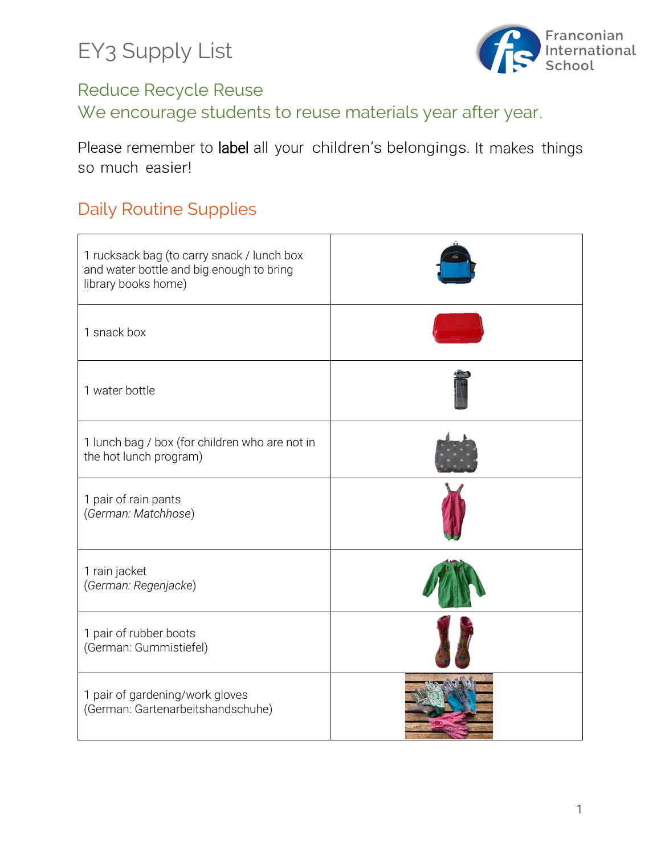

#### Reduce Recycle Reuse

We encourage students to reuse materials year after year.

Please remember to label all your children's belongings. It makes things so much easier!

## Daily Routine Supplies

| 1 rucksack bag (to carry snack / lunch box<br>and water bottle and big enough to bring<br>library books home) |  |
|---------------------------------------------------------------------------------------------------------------|--|
| 1 snack box                                                                                                   |  |
| 1 water bottle                                                                                                |  |
| 1 lunch bag / box (for children who are not in<br>the hot lunch program)                                      |  |
| 1 pair of rain pants<br>(German: Matchhose)                                                                   |  |
| 1 rain jacket<br>(German: Regenjacke)                                                                         |  |
| 1 pair of rubber boots<br>(German: Gummistiefel)                                                              |  |
| 1 pair of gardening/work gloves<br>(German: Gartenarbeitshandschuhe)                                          |  |